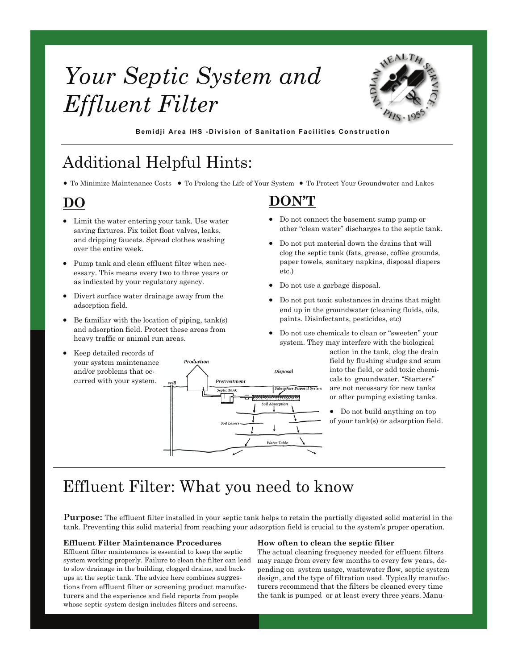# *Your Septic System and Effluent Filter*



**Bemidji Area IHS -Division of Sanitation Faciliti es Construction** 

## Additional Helpful Hints:

• To Minimize Maintenance Costs • To Prolong the Life of Your System • To Protect Your Groundwater and Lakes

### **DO**

- Limit the water entering your tank. Use water saving fixtures. Fix toilet float valves, leaks, and dripping faucets. Spread clothes washing over the entire week.
- Pump tank and clean effluent filter when necessary. This means every two to three years or as indicated by your regulatory agency.
- Divert surface water drainage away from the adsorption field.
- Be familiar with the location of piping,  $tank(s)$ and adsorption field. Protect these areas from heavy traffic or animal run areas.
- Keep detailed records of your system maintenance and/or problems that occurred with your system.

**DON'T**

- Do not connect the basement sump pump or other "clean water" discharges to the septic tank.
- Do not put material down the drains that will clog the septic tank (fats, grease, coffee grounds, paper towels, sanitary napkins, disposal diapers etc.)
- Do not use a garbage disposal.
- Do not put toxic substances in drains that might end up in the groundwater (cleaning fluids, oils, paints. Disinfectants, pesticides, etc)
- Do not use chemicals to clean or "sweeten" your system. They may interfere with the biological action in the tank, clog the drain field by flushing sludge and scum Disposal into the field, or add toxic chemicals to groundwater. "Starters" are not necessary for new tanks or after pumping existing tanks.
	- Do not build anything on top of your tank(s) or adsorption field.

# Effluent Filter: What you need to know

Production

Pretreatment Septic Tanl

**Purpose:** The effluent filter installed in your septic tank helps to retain the partially digested solid material in the tank. Preventing this solid material from reaching your adsorption field is crucial to the system's proper operation.

Water Tabl

#### **Effluent Filter Maintenance Procedures**

Effluent filter maintenance is essential to keep the septic system working properly. Failure to clean the filter can lead to slow drainage in the building, clogged drains, and backups at the septic tank. The advice here combines suggestions from effluent filter or screening product manufacturers and the experience and field reports from people whose septic system design includes filters and screens.

#### **How often to clean the septic filter**

The actual cleaning frequency needed for effluent filters may range from every few months to every few years, depending on system usage, wastewater flow, septic system design, and the type of filtration used. Typically manufacturers recommend that the filters be cleaned every time the tank is pumped or at least every three years. Manu-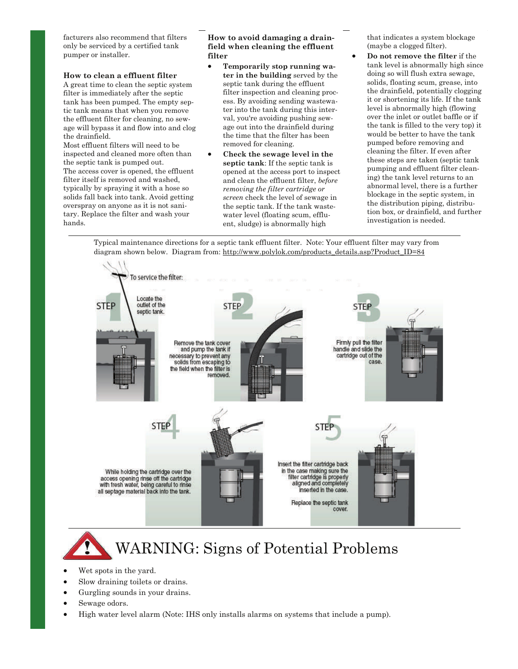facturers also recommend that filters only be serviced by a certified tank pumper or installer.

#### **How to clean a effluent filter**

A great time to clean the septic system filter is immediately after the septic tank has been pumped. The empty septic tank means that when you remove the effluent filter for cleaning, no sewage will bypass it and flow into and clog the drainfield.

Most effluent filters will need to be inspected and cleaned more often than the septic tank is pumped out. The access cover is opened, the effluent filter itself is removed and washed, typically by spraying it with a hose so solids fall back into tank. Avoid getting overspray on anyone as it is not sanitary. Replace the filter and wash your hands.

#### **How to avoid damaging a drainfield when cleaning the effluent filter**

- **Temporarily stop running water in the building** served by the septic tank during the effluent filter inspection and cleaning process. By avoiding sending wastewater into the tank during this interval, you're avoiding pushing sewage out into the drainfield during the time that the filter has been removed for cleaning.
- **Check the sewage level in the septic tank**: If the septic tank is opened at the access port to inspect and clean the effluent filter, *before removing the filter cartridge or screen* check the level of sewage in the septic tank. If the tank wastewater level (floating scum, effluent, sludge) is abnormally high

that indicates a system blockage (maybe a clogged filter).

• **Do not remove the filter** if the tank level is abnormally high since doing so will flush extra sewage, solids, floating scum, grease, into the drainfield, potentially clogging it or shortening its life. If the tank level is abnormally high (flowing over the inlet or outlet baffle or if the tank is filled to the very top) it would be better to have the tank pumped before removing and cleaning the filter. If even after these steps are taken (septic tank pumping and effluent filter cleaning) the tank level returns to an abnormal level, there is a further blockage in the septic system, in the distribution piping, distribution box, or drainfield, and further investigation is needed.

Typical maintenance directions for a septic tank effluent filter. Note: Your effluent filter may vary from diagram shown below. Diagram from: http://www.polylok.com/products\_details.asp?Product\_ID=84



# WARNING: Signs of Potential Problems

- Wet spots in the yard.
- Slow draining toilets or drains.
- Gurgling sounds in your drains.
- Sewage odors.
- High water level alarm (Note: IHS only installs alarms on systems that include a pump).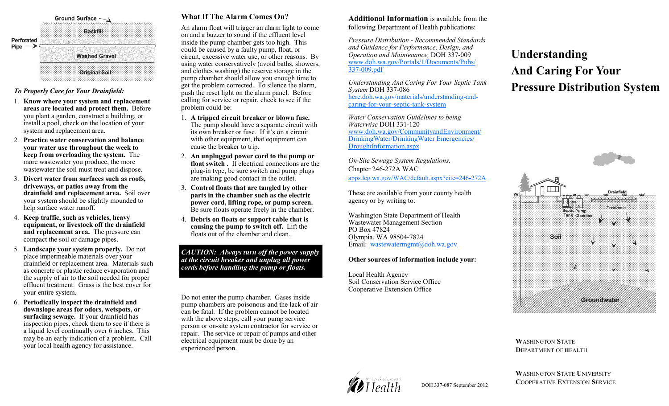| Perforated<br>Pipe | <b>Ground Surface</b> |
|--------------------|-----------------------|
|                    | ×<br>×                |
|                    | <b>Washed Gravel</b>  |
|                    |                       |

#### *To Properly Care for Your Drainfield:*

- 1. **Know where your system and replacement areas are located and protect them.** Before you plant a garden, construct a building, or install a pool, check on the location of your system and replacement area.
- 2. **Practice water conservation and balance your water use throughout the week to keep from overloading the system.** The more wastewater you produce, the more wastewater the soil must treat and dispose.
- 3. **Divert water from surfaces such as roofs, driveways, or patios away from the drainfield and replacement area.** Soil over your system should be slightly mounded to help surface water runoff.
- 4. **Keep traffic, such as vehicles, heavy equipment, or livestock off the drainfield and replacement area.** The pressure can compact the soil or damage pipes.
- 5. **Landscape your system properly.** Do not place impermeable materials over your drainfield or replacement area. Materials such as concrete or plastic reduce evaporation and the supply of air to the soil needed for proper effluent treatment. Grass is the best cover for your entire system.
- 6. **Periodically inspect the drainfield and downslope areas for odors, wetspots, or surfacing sewage.** If your drainfield has inspection pipes, check them to see if there is a liquid level continually over 6 inches. This may be an early indication of a problem. Call your local health agency for assistance.

#### **What If The Alarm Comes On?**

An alarm float will trigger an alarm light to come on and a buzzer to sound if the effluent level inside the pump chamber gets too high. This could be caused by a faulty pump, float, or circuit, excessive water use, or other reasons. By using water conservatively (avoid baths, showers, and clothes washing) the reserve storage in the pump chamber should allow you enough time to get the problem corrected. To silence the alarm, push the reset light on the alarm panel. Before calling for service or repair, check to see if the problem could be:

- 1. **A tripped circuit breaker or blown fuse.**  The pump should have a separate circuit with its own breaker or fuse. If it's on a circuit with other equipment, that equipment can cause the breaker to trip.
- 2. **An unplugged power cord to the pump or float switch .** If electrical connections are the plug-in type, be sure switch and pump plugs are making good contact in the outlet.
- 3. **Control floats that are tangled by other parts in the chamber such as the electric power cord, lifting rope, or pump screen.** Be sure floats operate freely in the chamber.
- 4. **Debris on floats or support cable that is causing the pump to switch off.** Lift the floats out of the chamber and clean.

*CAUTION: Always turn off the power supply at the circuit breaker and unplug all power cords before handling the pump or floats.*

Do not enter the pump chamber. Gases inside pump chambers are poisonous and the lack of air can be fatal. If the problem cannot be located with the above steps, call your pump service person or on-site system contractor for service or repair. The service or repair of pumps and other electrical equipment must be done by an experienced person.

**Additional Information** is available from the following Department of Health publications:

*Pressure Distribution - Recommended Standards and Guidance for Performance, Design, and Operation and Maintenance,* DOH 337-009 [www.doh.wa.gov/Portals/1/Documents/Pubs/](http://www.doh.wa.gov/Portals/1/Documents/Pubs/337-009.pdf) [337-009.pdf](http://www.doh.wa.gov/Portals/1/Documents/Pubs/337-009.pdf)

*Understanding And Caring For Your Septic Tank System* DOH 337-086 [here.doh.wa.gov/materials/understanding-and](http://here.doh.wa.gov/materials/understanding-and-caring-for-your-septic-tank-system)[caring-for-your-septic-tank-system](http://here.doh.wa.gov/materials/understanding-and-caring-for-your-septic-tank-system)

*Water Conservation Guidelines to being Waterwise* DOH 331-120 [www.doh.wa.gov/CommunityandEnvironment/](http://www.doh.wa.gov/CommunityandEnvironment/DrinkingWater/DrinkingWaterEmergencies/DroughtInformation.aspx) [DrinkingWater/DrinkingWater Emergencies/](http://www.doh.wa.gov/CommunityandEnvironment/DrinkingWater/DrinkingWaterEmergencies/DroughtInformation.aspx) [DroughtInformation.aspx](http://www.doh.wa.gov/CommunityandEnvironment/DrinkingWater/DrinkingWaterEmergencies/DroughtInformation.aspx)

*On-Site Sewage System Regulations,* Chapter 246-272A WAC [apps.leg.wa.gov/WAC/default.aspx?cite=246-272A](http://apps.leg.wa.gov/WAC/default.aspx?cite=246-272A)

These are available from your county health agency or by writing to:

Washington State Department of Health Wastewater Management Section PO Box 47824 Olympia, WA 98504-7824 Email: [wastewatermgmt@doh.wa.gov](mailto:wastewatermgmt@doh.wa.gov)

#### **Other sources of information include your:**

Local Health Agency Soil Conservation Service Office Cooperative Extension Office

### **Understanding And Caring For Your Pressure Distribution System**



**W**ASHINGTON **S**TATE **D**EPARTMENT OF **H**EALTH



DOH 337-087 September 2012

**W**ASHINGTON **S**TATE **U**NIVERSITY **C**OOPERATIVE **E**XTENSION **S**ERVICE